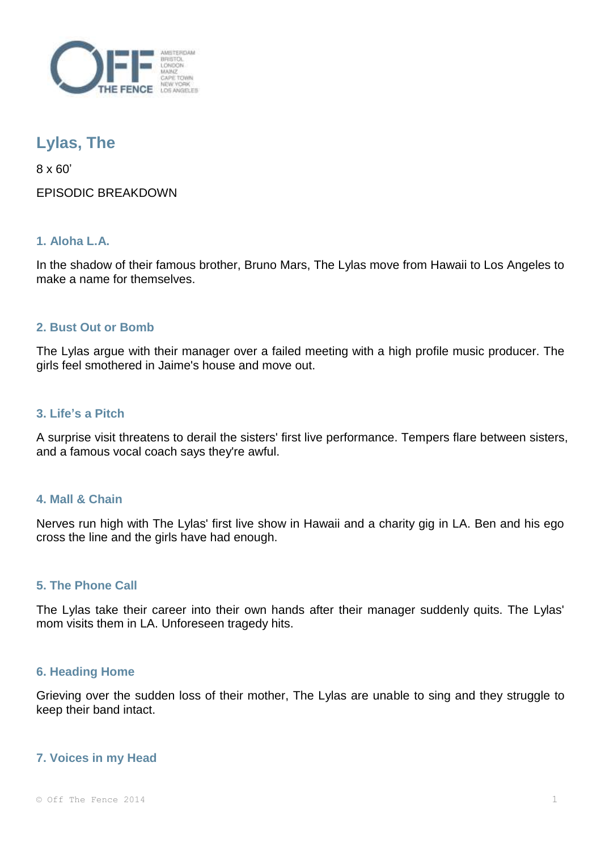

# **Lylas, The**

8 x 60' EPISODIC BREAKDOWN

## **1. Aloha L.A.**

In the shadow of their famous brother, Bruno Mars, The Lylas move from Hawaii to Los Angeles to make a name for themselves.

### **2. Bust Out or Bomb**

The Lylas argue with their manager over a failed meeting with a high profile music producer. The girls feel smothered in Jaime's house and move out.

#### **3. Life's a Pitch**

A surprise visit threatens to derail the sisters' first live performance. Tempers flare between sisters, and a famous vocal coach says they're awful.

#### **4. Mall & Chain**

Nerves run high with The Lylas' first live show in Hawaii and a charity gig in LA. Ben and his ego cross the line and the girls have had enough.

#### **5. The Phone Call**

The Lylas take their career into their own hands after their manager suddenly quits. The Lylas' mom visits them in LA. Unforeseen tragedy hits.

#### **6. Heading Home**

Grieving over the sudden loss of their mother, The Lylas are unable to sing and they struggle to keep their band intact.

#### **7. Voices in my Head**